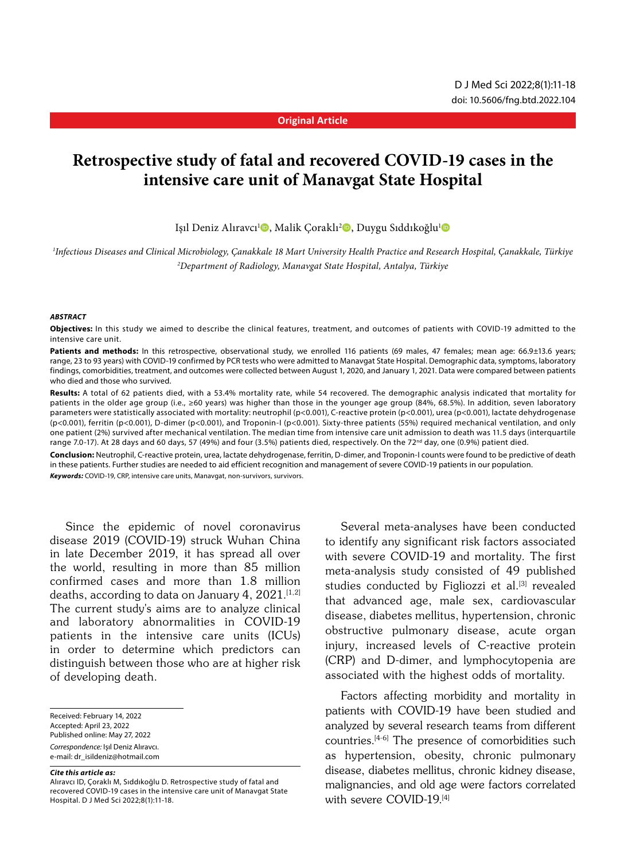#### **Original Article**

# **Retrospective study of fatal and recovered COVID-19 cases in the intensive care unit of Manavgat State Hospital**

Işıl Deniz Alıravcı<sup>ı</sup>®, Malik Çoraklı<sup>2</sup>®, Duygu Sıddıkoğlu<sup>ı</sup>®

*1 Infectious Diseases and Clinical Microbiology, Çanakkale 18 Mart University Health Practice and Research Hospital, Çanakkale, Türkiye 2 Department of Radiology, Manavgat State Hospital, Antalya, Türkiye*

#### *ABSTRACT*

**Objectives:** In this study we aimed to describe the clinical features, treatment, and outcomes of patients with COVID-19 admitted to the intensive care unit.

Patients and methods: In this retrospective, observational study, we enrolled 116 patients (69 males, 47 females; mean age: 66.9±13.6 years; range, 23 to 93 years) with COVID-19 confirmed by PCR tests who were admitted to Manavgat State Hospital. Demographic data, symptoms, laboratory findings, comorbidities, treatment, and outcomes were collected between August 1, 2020, and January 1, 2021. Data were compared between patients who died and those who survived.

**Results:** A total of 62 patients died, with a 53.4% mortality rate, while 54 recovered. The demographic analysis indicated that mortality for patients in the older age group (i.e., ≥60 years) was higher than those in the younger age group (84%, 68.5%). In addition, seven laboratory parameters were statistically associated with mortality: neutrophil (p<0.001), C-reactive protein (p<0.001), urea (p<0.001), lactate dehydrogenase (p<0.001), ferritin (p<0.001), D-dimer (p<0.001), and Troponin-I (p<0.001). Sixty-three patients (55%) required mechanical ventilation, and only one patient (2%) survived after mechanical ventilation. The median time from intensive care unit admission to death was 11.5 days (interquartile range 7.0-17). At 28 days and 60 days, 57 (49%) and four (3.5%) patients died, respectively. On the 72<sup>nd</sup> day, one (0.9%) patient died.

**Conclusion:** Neutrophil, C-reactive protein, urea, lactate dehydrogenase, ferritin, D-dimer, and Troponin-I counts were found to be predictive of death in these patients. Further studies are needed to aid efficient recognition and management of severe COVID-19 patients in our population.

*Keywords:* COVID-19, CRP, intensive care units, Manavgat, non-survivors, survivors.

Since the epidemic of novel coronavirus disease 2019 (COVID-19) struck Wuhan China in late December 2019, it has spread all over the world, resulting in more than 85 million confirmed cases and more than 1.8 million deaths, according to data on January 4,  $2021$ .<sup>[1,2]</sup> The current study's aims are to analyze clinical and laboratory abnormalities in COVID-19 patients in the intensive care units (ICUs) in order to determine which predictors can distinguish between those who are at higher risk of developing death.

Received: February 14, 2022 Accepted: April 23, 2022 Published online: May 27, 2022 *Correspondence:* Işıl Deniz Alıravcı. e-mail: dr\_isildeniz@hotmail.com

#### *Cite this article as:*

Alıravcı ID, Çoraklı M, Sıddıkoğlu D. Retrospective study of fatal and recovered COVID-19 cases in the intensive care unit of Manavgat State Hospital. D J Med Sci 2022;8(1):11-18.

Several meta-analyses have been conducted to identify any significant risk factors associated with severe COVID-19 and mortality. The first meta-analysis study consisted of 49 published studies conducted by Figliozzi et al.<sup>[3]</sup> revealed that advanced age, male sex, cardiovascular disease, diabetes mellitus, hypertension, chronic obstructive pulmonary disease, acute organ injury, increased levels of C-reactive protein (CRP) and D-dimer, and lymphocytopenia are associated with the highest odds of mortality.

Factors affecting morbidity and mortality in patients with COVID-19 have been studied and analyzed by several research teams from different countries.[4-6] The presence of comorbidities such as hypertension, obesity, chronic pulmonary disease, diabetes mellitus, chronic kidney disease, malignancies, and old age were factors correlated with severe COVID-19.<sup>[4]</sup>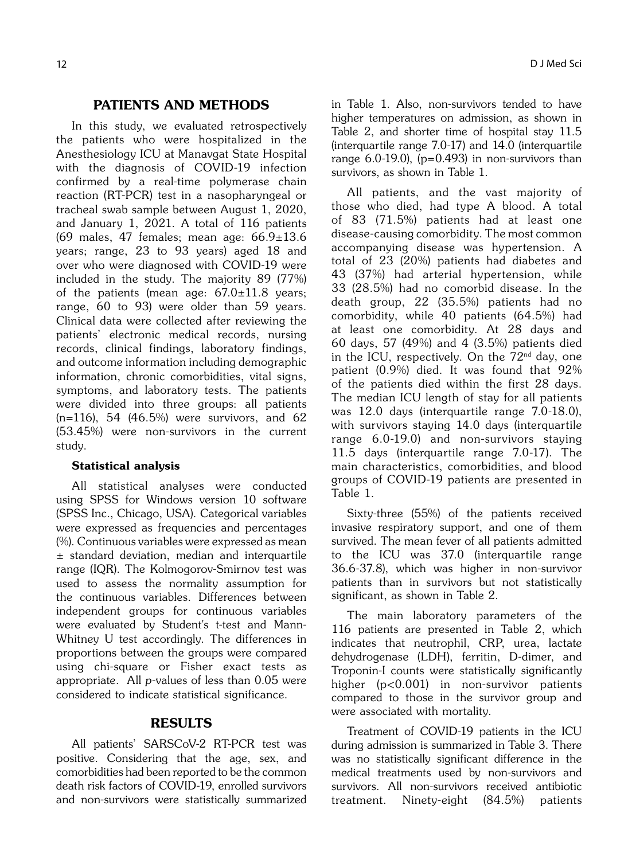### PATIENTS AND METHODS

In this study, we evaluated retrospectively the patients who were hospitalized in the Anesthesiology ICU at Manavgat State Hospital with the diagnosis of COVID-19 infection confirmed by a real-time polymerase chain reaction (RT-PCR) test in a nasopharyngeal or tracheal swab sample between August 1, 2020, and January 1, 2021. A total of 116 patients (69 males, 47 females; mean age: 66.9±13.6 years; range, 23 to 93 years) aged 18 and over who were diagnosed with COVID-19 were included in the study. The majority 89 (77%) of the patients (mean age:  $67.0 \pm 11.8$  years; range, 60 to 93) were older than 59 years. Clinical data were collected after reviewing the patients' electronic medical records, nursing records, clinical findings, laboratory findings, and outcome information including demographic information, chronic comorbidities, vital signs, symptoms, and laboratory tests. The patients were divided into three groups: all patients  $(n=116)$ , 54 (46.5%) were survivors, and 62 (53.45%) were non-survivors in the current study.

#### Statistical analysis

All statistical analyses were conducted using SPSS for Windows version 10 software (SPSS Inc., Chicago, USA). Categorical variables were expressed as frequencies and percentages (%). Continuous variables were expressed as mean ± standard deviation, median and interquartile range (IQR). The Kolmogorov-Smirnov test was used to assess the normality assumption for the continuous variables. Differences between independent groups for continuous variables were evaluated by Student's t-test and Mann-Whitney U test accordingly. The differences in proportions between the groups were compared using chi-square or Fisher exact tests as appropriate. All p-values of less than 0.05 were considered to indicate statistical significance.

## RESULTS

All patients' SARSCoV-2 RT-PCR test was positive. Considering that the age, sex, and comorbidities had been reported to be the common death risk factors of COVID-19, enrolled survivors and non-survivors were statistically summarized in Table 1. Also, non-survivors tended to have higher temperatures on admission, as shown in Table 2, and shorter time of hospital stay 11.5 (interquartile range 7.0-17) and 14.0 (interquartile range  $6.0-19.0$ ), (p=0.493) in non-survivors than survivors, as shown in Table 1.

All patients, and the vast majority of those who died, had type A blood. A total of 83 (71.5%) patients had at least one disease-causing comorbidity. The most common accompanying disease was hypertension. A total of 23 (20%) patients had diabetes and 43 (37%) had arterial hypertension, while 33 (28.5%) had no comorbid disease. In the death group, 22 (35.5%) patients had no comorbidity, while 40 patients (64.5%) had at least one comorbidity. At 28 days and 60 days, 57 (49%) and 4 (3.5%) patients died in the ICU, respectively. On the  $72<sup>nd</sup>$  day, one patient (0.9%) died. It was found that 92% of the patients died within the first 28 days. The median ICU length of stay for all patients was 12.0 days (interquartile range 7.0-18.0), with survivors staying 14.0 days (interquartile range 6.0-19.0) and non-survivors staying 11.5 days (interquartile range 7.0-17). The main characteristics, comorbidities, and blood groups of COVID-19 patients are presented in Table 1.

Sixty-three (55%) of the patients received invasive respiratory support, and one of them survived. The mean fever of all patients admitted to the ICU was 37.0 (interquartile range 36.6-37.8), which was higher in non-survivor patients than in survivors but not statistically significant, as shown in Table 2.

The main laboratory parameters of the 116 patients are presented in Table 2, which indicates that neutrophil, CRP, urea, lactate dehydrogenase (LDH), ferritin, D-dimer, and Troponin-I counts were statistically significantly higher (p<0.001) in non-survivor patients compared to those in the survivor group and were associated with mortality.

Treatment of COVID-19 patients in the ICU during admission is summarized in Table 3. There was no statistically significant difference in the medical treatments used by non-survivors and survivors. All non-survivors received antibiotic treatment. Ninety-eight (84.5%) patients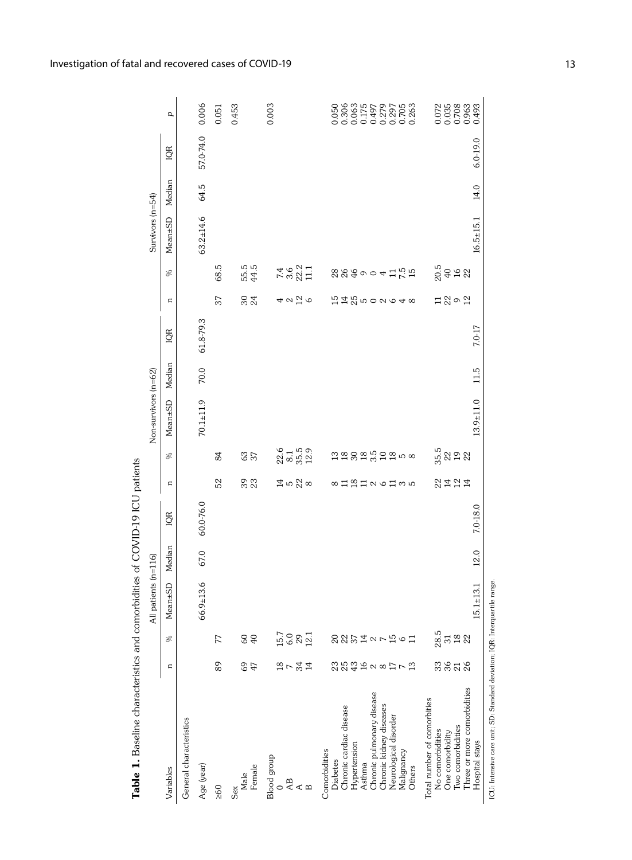| Table 1. Baseline characteristics and comorbidities of COVID-19 ICU patients                                                                                                                                                                                                                                      |                           |                                 |                      |          |           |                                 |                                        |                      |        |           |                       |                                 |                    |        |           |                              |
|-------------------------------------------------------------------------------------------------------------------------------------------------------------------------------------------------------------------------------------------------------------------------------------------------------------------|---------------------------|---------------------------------|----------------------|----------|-----------|---------------------------------|----------------------------------------|----------------------|--------|-----------|-----------------------|---------------------------------|--------------------|--------|-----------|------------------------------|
|                                                                                                                                                                                                                                                                                                                   |                           |                                 | All patients (n=116) |          |           |                                 |                                        | Non-survivors (n=62) |        |           |                       |                                 | Survivors $(n=54)$ |        |           |                              |
| Variables                                                                                                                                                                                                                                                                                                         | $\mathbf{C}$              | $\%$                            | Mean±SD              | Median   | IQR       | $\mathbf{a}$                    | S,                                     | Mean±SD              | Median | IQR       | $\mathbf{a}$          | ℅                               | Mean±SD            | Median | IQR       | p                            |
| General characteristics                                                                                                                                                                                                                                                                                           |                           |                                 |                      |          |           |                                 |                                        |                      |        |           |                       |                                 |                    |        |           |                              |
| Age (year)                                                                                                                                                                                                                                                                                                        |                           |                                 | 3.6<br>$66.9 \pm 1$  | 67.0     | 60.0-76.0 |                                 |                                        | $70.1 + 11.9$        | 70.0   | 61.8-79.3 |                       |                                 | $63.2 \pm 14.6$    | 64.5   | 57.0-74.0 | 0.006                        |
| 260                                                                                                                                                                                                                                                                                                               | 89                        | 77                              |                      |          |           | 52                              | 84                                     |                      |        |           | 37                    | 68.5                            |                    |        |           | 0.051                        |
| Female<br>Male<br>Sex                                                                                                                                                                                                                                                                                             | G<br>47                   | 640                             |                      |          |           | 39                              | <b>63</b><br>37                        |                      |        |           | 304                   | 55.5<br>44.5                    |                    |        |           | 0.453                        |
| $\begin{array}{lcl} \mathrm{Blood\ group} \\ 0 \\ \mathrm{AB} \\ \mathrm{A} \\ \mathrm{B} \\ \end{array}$                                                                                                                                                                                                         | 2734                      | 15.7<br>0.8<br>12.1             |                      |          |           | $\Xi$ is $\frac{2}{3}$ $\infty$ | $22.6$<br>$8.1$<br>$5.9$<br>$12.9$     |                      |        |           | 422                   | 7.4<br>3.6<br>22.1<br>11.1      |                    |        |           | 0.003                        |
| Three or more comorbidities<br>Chronic pulmonary disease<br>Total number of comorbities<br>Chronic kidney diseases<br>Chronic cardiac disease<br>Neurological disorder<br>Two comorbidities<br>No comorbidities<br>One comorbidity<br>Hypertension<br>Comorbidities<br>Malignancy<br>Diabetes<br>Asthma<br>Others | 3828<br><b>2332228173</b> | 28.5<br>23 Fi 23<br>の辺が1127には61 |                      |          |           | 2147<br>8112126135              | 35<br>32<br>32<br>13 23 24 35 28 50 80 |                      |        |           | 151125002648<br>12002 | $20.5$<br>$49.22$<br>8849004125 |                    |        |           | 2<br>0358<br>000833<br>00000 |
| Hospital stays                                                                                                                                                                                                                                                                                                    |                           |                                 | 3.1<br>$15.1 \pm 1.$ | $12.0\,$ | 7.0-18.0  |                                 |                                        | $13.9 + 11.0$        | 11.5   | 7.0-17    |                       |                                 | $16.5 \pm 15.1$    | 14.0   | 6.0-19.0  |                              |
| ICU: Intensive care unit: SD: Standard deviation; IQR: Interquartile range.                                                                                                                                                                                                                                       |                           |                                 |                      |          |           |                                 |                                        |                      |        |           |                       |                                 |                    |        |           |                              |

Investigation of fatal and recovered cases of COVID-19 13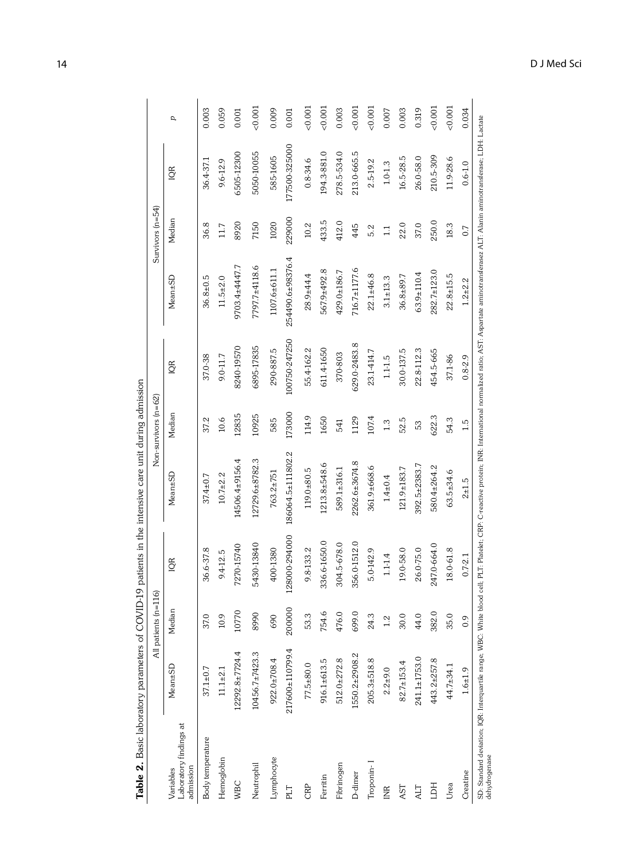| 585-1605<br>$16.5 - 28.5$<br>26.0-58.0<br>11.9-28.6<br>36.4-37.1<br>$0.8 - 34.6$<br>9.6-12.9<br>2.5-19.2<br>$1.0 - 1.3$<br>$0.6 - 1.0$<br>IQR<br>229000<br>Median<br>433.5<br>412.0<br>250.0<br>8920<br>7150<br>1020<br>36.8<br>10.2<br>18.3<br>22.0<br>37.0<br>11.7<br>445<br>5.2<br>0.7<br>$\mathbb{I}$<br>254490.6±98376.4<br>9703.4±4447.7<br>7797.7±4118.6<br>716.7±1177.6<br>567.9±492.8<br>1107.6±611.1<br>429.0±186.7<br>$282.7 \pm 123.0$<br>$63.9 \pm 110.4$<br>$28.9 + 44.4$<br>$22.1 + 46.8$<br>$22.8 \pm 15.5$<br>36.8±89.7<br>Mean±SD<br>$36.8 \pm 0.5$<br>$11.5 + 2.0$<br>$3.1 + 13.3$<br>$1.2 + 2.2$<br>100750-247250<br>629.0-2483.8<br>6895-17835<br>8240-19570<br>611.4-1650<br>55.4-162.2<br>290-887.5<br>22.8-112.3<br>30.0-137.5<br>454.5-665<br>23.1-414.7<br>370-803<br>37.0-38<br>9.0-11.7<br>37.1-86<br>$0.8 - 2.9$<br>$1.1 - 5$<br>IQR<br>173000<br>Median<br>12835<br>10925<br>622.3<br>114.9<br>107.4<br>1650<br>1129<br>52.5<br>54.3<br>10.6<br>37.2<br>585<br>541<br>1.3<br>1.5<br>53<br>186064.5±111802.2<br>12729.6±8782.3<br>14506.4±9156.4<br>2262.6±3674.8<br>1213.8±548.6<br>392.5±2383.7<br>580.4±264.2<br>361.9±668.6<br>121.9±183.7<br>$119.0 + 80.5$<br>589.1±316.1<br>$63.5 + 34.6$<br>763.2±751<br>Mean±SD<br>$10.7 + 2.2$<br>$37.4 \pm 0.7$<br>$1.4 + 0.4$<br>$2 + 1.5$<br>128000-294000<br>336.6-1650.0<br>356.0-1512.0<br>5430-13840<br>304.5-678.0<br>247.0-664.0<br>7270-15740<br>36.6-37.8<br>400-1380<br>9.8-133.2<br>26.0-75.0<br>$18.0 - 61.8$<br>5.0-142.9<br>19.0-58.0<br>9.4-12.5<br>$1.1 - 1.4$<br>$0.7 - 2.1$<br>IQR<br>200000<br>Median<br>10770<br>754.6<br>476.0<br>382.0<br>699.0<br>8990<br>53.3<br>24.3<br>35.0<br>37.0<br>44.0<br>10.9<br>30.0<br>690<br>1.2<br>0.9<br>217600±110799.4<br>12292.8±7724.4<br>$10456.7 \pm 7423.3$<br>1550.2±2908.2<br>241.1±1753.0<br>$512.0 + 272.8$<br>$205.3 + 518.8$<br>443.2±257.8<br>922.0±708.4<br>916.1±613.5<br>82.7±153.4<br>$77.5 + 80.0$<br>44.7±34.1<br>Mean±SD<br>$37.1 \pm 0.7$<br>$11.1 \pm 2.1$<br>$2.2 + 9.0$<br>$1.6 + 1.9$<br>Laboratory findings at<br>Body temperature<br>Lymphocyte<br>Hemoglobin<br>Troponin-<br>Fibrinogen<br>Neutrophil<br>admission<br>Variables<br>Creatine<br>D-dimer<br>Ferritin<br><b>WBC</b><br>Urea<br>HCL<br>CRP<br>AST<br>PLT<br><b>INR</b><br>ALT |  | All patients (n=1 | 16 | $Non-survivors (n=62)$ |  | Survivors $(n=54)$ |               |       |
|------------------------------------------------------------------------------------------------------------------------------------------------------------------------------------------------------------------------------------------------------------------------------------------------------------------------------------------------------------------------------------------------------------------------------------------------------------------------------------------------------------------------------------------------------------------------------------------------------------------------------------------------------------------------------------------------------------------------------------------------------------------------------------------------------------------------------------------------------------------------------------------------------------------------------------------------------------------------------------------------------------------------------------------------------------------------------------------------------------------------------------------------------------------------------------------------------------------------------------------------------------------------------------------------------------------------------------------------------------------------------------------------------------------------------------------------------------------------------------------------------------------------------------------------------------------------------------------------------------------------------------------------------------------------------------------------------------------------------------------------------------------------------------------------------------------------------------------------------------------------------------------------------------------------------------------------------------------------------------------------------------------------------------------------------------------------------------------------------------------------------------------------------------------------------------------------------------------------------------------------------------------------------------------------------|--|-------------------|----|------------------------|--|--------------------|---------------|-------|
|                                                                                                                                                                                                                                                                                                                                                                                                                                                                                                                                                                                                                                                                                                                                                                                                                                                                                                                                                                                                                                                                                                                                                                                                                                                                                                                                                                                                                                                                                                                                                                                                                                                                                                                                                                                                                                                                                                                                                                                                                                                                                                                                                                                                                                                                                                      |  |                   |    |                        |  |                    |               | d     |
|                                                                                                                                                                                                                                                                                                                                                                                                                                                                                                                                                                                                                                                                                                                                                                                                                                                                                                                                                                                                                                                                                                                                                                                                                                                                                                                                                                                                                                                                                                                                                                                                                                                                                                                                                                                                                                                                                                                                                                                                                                                                                                                                                                                                                                                                                                      |  |                   |    |                        |  |                    |               | 0.003 |
|                                                                                                                                                                                                                                                                                                                                                                                                                                                                                                                                                                                                                                                                                                                                                                                                                                                                                                                                                                                                                                                                                                                                                                                                                                                                                                                                                                                                                                                                                                                                                                                                                                                                                                                                                                                                                                                                                                                                                                                                                                                                                                                                                                                                                                                                                                      |  |                   |    |                        |  |                    |               | 0.059 |
|                                                                                                                                                                                                                                                                                                                                                                                                                                                                                                                                                                                                                                                                                                                                                                                                                                                                                                                                                                                                                                                                                                                                                                                                                                                                                                                                                                                                                                                                                                                                                                                                                                                                                                                                                                                                                                                                                                                                                                                                                                                                                                                                                                                                                                                                                                      |  |                   |    |                        |  |                    | 6505-12300    | 0.001 |
|                                                                                                                                                                                                                                                                                                                                                                                                                                                                                                                                                                                                                                                                                                                                                                                                                                                                                                                                                                                                                                                                                                                                                                                                                                                                                                                                                                                                                                                                                                                                                                                                                                                                                                                                                                                                                                                                                                                                                                                                                                                                                                                                                                                                                                                                                                      |  |                   |    |                        |  |                    | 5050-10055    | 0.001 |
|                                                                                                                                                                                                                                                                                                                                                                                                                                                                                                                                                                                                                                                                                                                                                                                                                                                                                                                                                                                                                                                                                                                                                                                                                                                                                                                                                                                                                                                                                                                                                                                                                                                                                                                                                                                                                                                                                                                                                                                                                                                                                                                                                                                                                                                                                                      |  |                   |    |                        |  |                    |               | 0.009 |
|                                                                                                                                                                                                                                                                                                                                                                                                                                                                                                                                                                                                                                                                                                                                                                                                                                                                                                                                                                                                                                                                                                                                                                                                                                                                                                                                                                                                                                                                                                                                                                                                                                                                                                                                                                                                                                                                                                                                                                                                                                                                                                                                                                                                                                                                                                      |  |                   |    |                        |  |                    | 177500-325000 | 0.001 |
|                                                                                                                                                                                                                                                                                                                                                                                                                                                                                                                                                                                                                                                                                                                                                                                                                                                                                                                                                                                                                                                                                                                                                                                                                                                                                                                                                                                                                                                                                                                                                                                                                                                                                                                                                                                                                                                                                                                                                                                                                                                                                                                                                                                                                                                                                                      |  |                   |    |                        |  |                    |               | 0.001 |
|                                                                                                                                                                                                                                                                                                                                                                                                                                                                                                                                                                                                                                                                                                                                                                                                                                                                                                                                                                                                                                                                                                                                                                                                                                                                                                                                                                                                                                                                                                                                                                                                                                                                                                                                                                                                                                                                                                                                                                                                                                                                                                                                                                                                                                                                                                      |  |                   |    |                        |  |                    | 194.3-881.0   | 0.001 |
|                                                                                                                                                                                                                                                                                                                                                                                                                                                                                                                                                                                                                                                                                                                                                                                                                                                                                                                                                                                                                                                                                                                                                                                                                                                                                                                                                                                                                                                                                                                                                                                                                                                                                                                                                                                                                                                                                                                                                                                                                                                                                                                                                                                                                                                                                                      |  |                   |    |                        |  |                    | 278.5-534.0   | 0.003 |
|                                                                                                                                                                                                                                                                                                                                                                                                                                                                                                                                                                                                                                                                                                                                                                                                                                                                                                                                                                                                                                                                                                                                                                                                                                                                                                                                                                                                                                                                                                                                                                                                                                                                                                                                                                                                                                                                                                                                                                                                                                                                                                                                                                                                                                                                                                      |  |                   |    |                        |  |                    | 213.0-665.5   | 0.001 |
|                                                                                                                                                                                                                                                                                                                                                                                                                                                                                                                                                                                                                                                                                                                                                                                                                                                                                                                                                                                                                                                                                                                                                                                                                                                                                                                                                                                                                                                                                                                                                                                                                                                                                                                                                                                                                                                                                                                                                                                                                                                                                                                                                                                                                                                                                                      |  |                   |    |                        |  |                    |               | 0.001 |
|                                                                                                                                                                                                                                                                                                                                                                                                                                                                                                                                                                                                                                                                                                                                                                                                                                                                                                                                                                                                                                                                                                                                                                                                                                                                                                                                                                                                                                                                                                                                                                                                                                                                                                                                                                                                                                                                                                                                                                                                                                                                                                                                                                                                                                                                                                      |  |                   |    |                        |  |                    |               | 0.007 |
|                                                                                                                                                                                                                                                                                                                                                                                                                                                                                                                                                                                                                                                                                                                                                                                                                                                                                                                                                                                                                                                                                                                                                                                                                                                                                                                                                                                                                                                                                                                                                                                                                                                                                                                                                                                                                                                                                                                                                                                                                                                                                                                                                                                                                                                                                                      |  |                   |    |                        |  |                    |               | 0.003 |
|                                                                                                                                                                                                                                                                                                                                                                                                                                                                                                                                                                                                                                                                                                                                                                                                                                                                                                                                                                                                                                                                                                                                                                                                                                                                                                                                                                                                                                                                                                                                                                                                                                                                                                                                                                                                                                                                                                                                                                                                                                                                                                                                                                                                                                                                                                      |  |                   |    |                        |  |                    |               | 0.319 |
|                                                                                                                                                                                                                                                                                                                                                                                                                                                                                                                                                                                                                                                                                                                                                                                                                                                                                                                                                                                                                                                                                                                                                                                                                                                                                                                                                                                                                                                                                                                                                                                                                                                                                                                                                                                                                                                                                                                                                                                                                                                                                                                                                                                                                                                                                                      |  |                   |    |                        |  |                    | 210.5-309     | 0.001 |
|                                                                                                                                                                                                                                                                                                                                                                                                                                                                                                                                                                                                                                                                                                                                                                                                                                                                                                                                                                                                                                                                                                                                                                                                                                                                                                                                                                                                                                                                                                                                                                                                                                                                                                                                                                                                                                                                                                                                                                                                                                                                                                                                                                                                                                                                                                      |  |                   |    |                        |  |                    |               | 0.001 |
|                                                                                                                                                                                                                                                                                                                                                                                                                                                                                                                                                                                                                                                                                                                                                                                                                                                                                                                                                                                                                                                                                                                                                                                                                                                                                                                                                                                                                                                                                                                                                                                                                                                                                                                                                                                                                                                                                                                                                                                                                                                                                                                                                                                                                                                                                                      |  |                   |    |                        |  |                    |               | 0.034 |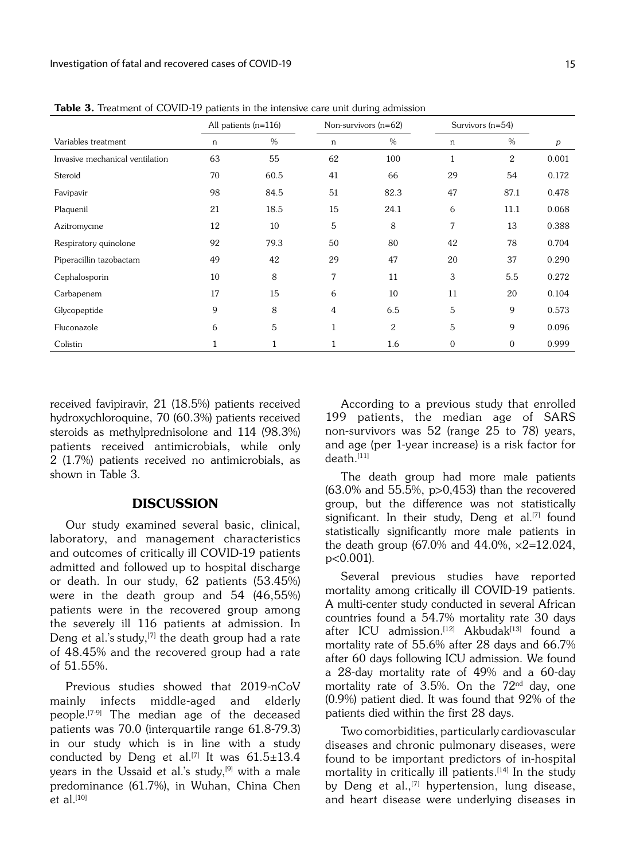|                                 |    | All patients $(n=116)$ |        | Non-survivors $(n=62)$ |              | Survivors $(n=54)$ |       |
|---------------------------------|----|------------------------|--------|------------------------|--------------|--------------------|-------|
| Variables treatment             | n  | $\%$                   | $\,$ n | $\%$                   | n            | $\%$               | p     |
| Invasive mechanical ventilation | 63 | 55                     | 62     | 100                    | 1            | 2                  | 0.001 |
| Steroid                         | 70 | 60.5                   | 41     | 66                     | 29           | 54                 | 0.172 |
| Favipavir                       | 98 | 84.5                   | 51     | 82.3                   | 47           | 87.1               | 0.478 |
| Plaquenil                       | 21 | 18.5                   | 15     | 24.1                   | 6            | 11.1               | 0.068 |
| Azitromycine                    | 12 | 10                     | 5      | 8                      | 7            | 13                 | 0.388 |
| Respiratory quinolone           | 92 | 79.3                   | 50     | 80                     | 42           | 78                 | 0.704 |
| Piperacillin tazobactam         | 49 | 42                     | 29     | 47                     | 20           | 37                 | 0.290 |
| Cephalosporin                   | 10 | 8                      | 7      | 11                     | 3            | 5.5                | 0.272 |
| Carbapenem                      | 17 | 15                     | 6      | 10                     | 11           | 20                 | 0.104 |
| Glycopeptide                    | 9  | 8                      | 4      | 6.5                    | 5            | 9                  | 0.573 |
| Fluconazole                     | 6  | 5                      | 1      | $\mathbf{2}$           | 5            | 9                  | 0.096 |
| Colistin                        |    |                        |        | 1.6                    | $\mathbf{0}$ | $\mathbf{0}$       | 0.999 |

Table 3. Treatment of COVID-19 patients in the intensive care unit during admission

received favipiravir, 21 (18.5%) patients received hydroxychloroquine, 70 (60.3%) patients received steroids as methylprednisolone and 114 (98.3%) patients received antimicrobials, while only 2 (1.7%) patients received no antimicrobials, as shown in Table 3.

### DISCUSSION

Our study examined several basic, clinical, laboratory, and management characteristics and outcomes of critically ill COVID-19 patients admitted and followed up to hospital discharge or death. In our study, 62 patients (53.45%) were in the death group and 54 (46,55%) patients were in the recovered group among the severely ill 116 patients at admission. In Deng et al.'s study, $[7]$  the death group had a rate of 48.45% and the recovered group had a rate of 51.55%.

Previous studies showed that 2019-nCoV mainly infects middle-aged and elderly people.[7-9] The median age of the deceased patients was 70.0 (interquartile range 61.8-79.3) in our study which is in line with a study conducted by Deng et al.<sup>[7]</sup> It was  $61.5 \pm 13.4$ years in the Ussaid et al.'s study, $[9]$  with a male predominance (61.7%), in Wuhan, China Chen et al. $[10]$ 

According to a previous study that enrolled 199 patients, the median age of SARS non-survivors was 52 (range 25 to 78) years, and age (per 1-year increase) is a risk factor for  $death.$ [11]

The death group had more male patients (63.0% and 55.5%, p>0,453) than the recovered group, but the difference was not statistically significant. In their study, Deng et al.<sup>[7]</sup> found statistically significantly more male patients in the death group (67.0% and 44.0%,  $\times$ 2=12.024, p<0.001).

Several previous studies have reported mortality among critically ill COVID-19 patients. A multi-center study conducted in several African countries found a 54.7% mortality rate 30 days after ICU admission.<sup>[12]</sup> Akbudak<sup>[13]</sup> found a mortality rate of 55.6% after 28 days and 66.7% after 60 days following ICU admission. We found a 28-day mortality rate of 49% and a 60-day mortality rate of  $3.5\%$ . On the  $72^{\text{nd}}$  day, one (0.9%) patient died. It was found that 92% of the patients died within the first 28 days.

Two comorbidities, particularly cardiovascular diseases and chronic pulmonary diseases, were found to be important predictors of in-hospital mortality in critically ill patients.<sup>[14]</sup> In the study by Deng et al.,<sup>[7]</sup> hypertension, lung disease, and heart disease were underlying diseases in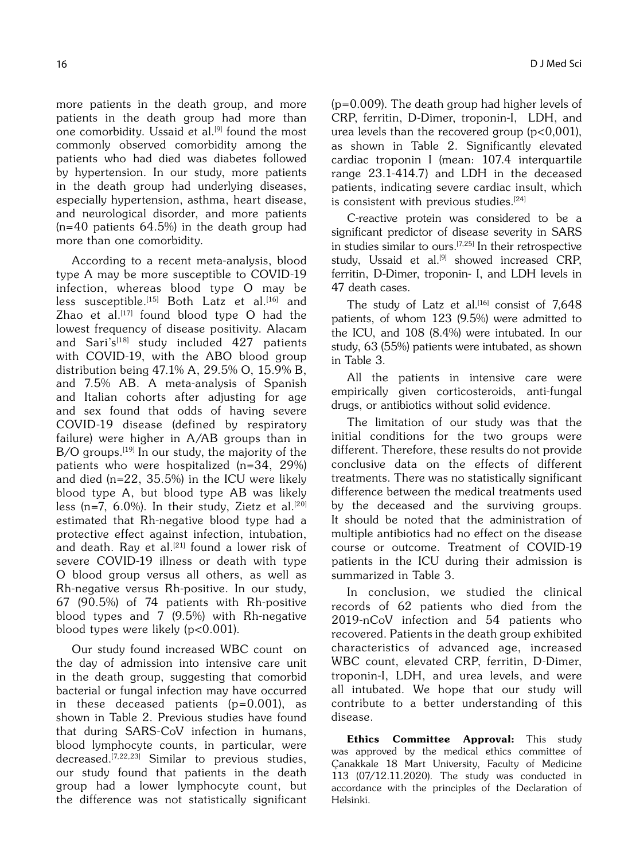more patients in the death group, and more patients in the death group had more than one comorbidity. Ussaid et al.<sup>[9]</sup> found the most commonly observed comorbidity among the patients who had died was diabetes followed by hypertension. In our study, more patients in the death group had underlying diseases, especially hypertension, asthma, heart disease, and neurological disorder, and more patients (n=40 patients 64.5%) in the death group had more than one comorbidity.

According to a recent meta-analysis, blood type A may be more susceptible to COVID-19 infection, whereas blood type O may be less susceptible.<sup>[15]</sup> Both Latz et al.<sup>[16]</sup> and Zhao et al.<sup>[17]</sup> found blood type  $O$  had the lowest frequency of disease positivity. Alacam and Sari's<sup>[18]</sup> study included  $427$  patients with COVID-19, with the ABO blood group distribution being 47.1% A, 29.5% O, 15.9% B, and 7.5% AB. A meta-analysis of Spanish and Italian cohorts after adjusting for age and sex found that odds of having severe COVID-19 disease (defined by respiratory failure) were higher in A/AB groups than in  $B/O$  groups.<sup>[19]</sup> In our study, the majority of the patients who were hospitalized (n=34, 29%) and died (n=22, 35.5%) in the ICU were likely blood type A, but blood type AB was likely less (n=7, 6.0%). In their study, Zietz et al.<sup>[20]</sup> estimated that Rh-negative blood type had a protective effect against infection, intubation, and death. Ray et al.<sup>[21]</sup> found a lower risk of severe COVID-19 illness or death with type O blood group versus all others, as well as Rh-negative versus Rh-positive. In our study, 67 (90.5%) of 74 patients with Rh-positive blood types and 7 (9.5%) with Rh-negative blood types were likely (p<0.001).

Our study found increased WBC count on the day of admission into intensive care unit in the death group, suggesting that comorbid bacterial or fungal infection may have occurred in these deceased patients  $(p=0.001)$ , as shown in Table 2. Previous studies have found that during SARS-CoV infection in humans, blood lymphocyte counts, in particular, were decreased.[7,22,23] Similar to previous studies, our study found that patients in the death group had a lower lymphocyte count, but the difference was not statistically significant (p=0.009). The death group had higher levels of CRP, ferritin, D-Dimer, troponin-I, LDH, and urea levels than the recovered group  $(p<0.001)$ , as shown in Table 2. Significantly elevated cardiac troponin I (mean: 107.4 interquartile range 23.1-414.7) and LDH in the deceased patients, indicating severe cardiac insult, which is consistent with previous studies.<sup>[24]</sup>

C-reactive protein was considered to be a significant predictor of disease severity in SARS in studies similar to ours.[7,25] In their retrospective study, Ussaid et al.<sup>[9]</sup> showed increased CRP, ferritin, D-Dimer, troponin- I, and LDH levels in 47 death cases.

The study of Latz et al.<sup>[16]</sup> consist of  $7,648$ patients, of whom 123 (9.5%) were admitted to the ICU, and 108 (8.4%) were intubated. In our study, 63 (55%) patients were intubated, as shown in Table 3.

All the patients in intensive care were empirically given corticosteroids, anti-fungal drugs, or antibiotics without solid evidence.

The limitation of our study was that the initial conditions for the two groups were different. Therefore, these results do not provide conclusive data on the effects of different treatments. There was no statistically significant difference between the medical treatments used by the deceased and the surviving groups. It should be noted that the administration of multiple antibiotics had no effect on the disease course or outcome. Treatment of COVID-19 patients in the ICU during their admission is summarized in Table 3.

In conclusion, we studied the clinical records of 62 patients who died from the 2019-nCoV infection and 54 patients who recovered. Patients in the death group exhibited characteristics of advanced age, increased WBC count, elevated CRP, ferritin, D-Dimer, troponin-I, LDH, and urea levels, and were all intubated. We hope that our study will contribute to a better understanding of this disease.

Ethics Committee Approval: This study was approved by the medical ethics committee of Çanakkale 18 Mart University, Faculty of Medicine 113 (07/12.11.2020). The study was conducted in accordance with the principles of the Declaration of Helsinki.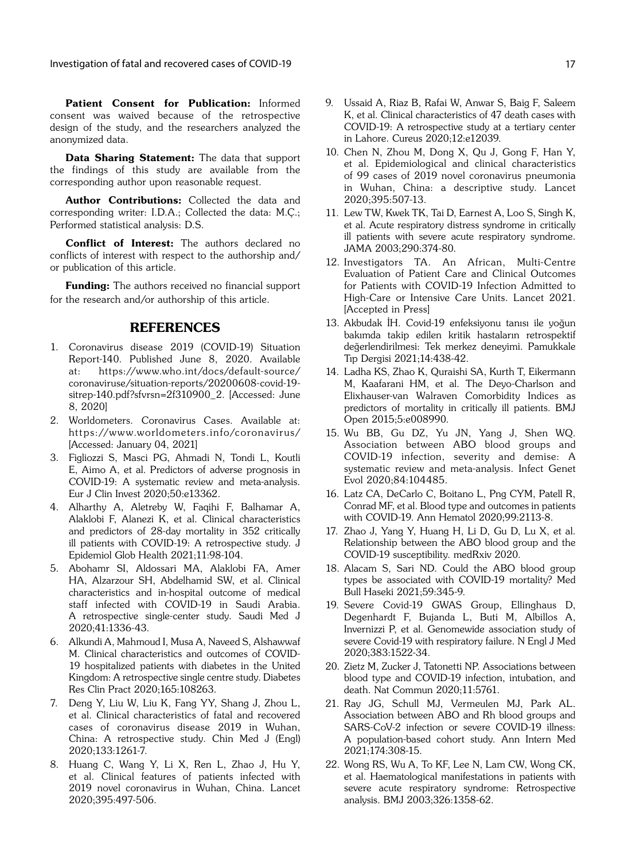Patient Consent for Publication: Informed consent was waived because of the retrospective design of the study, and the researchers analyzed the anonymized data.

Data Sharing Statement: The data that support the findings of this study are available from the corresponding author upon reasonable request.

Author Contributions: Collected the data and corresponding writer: I.D.A.; Collected the data: M.Ç.; Performed statistical analysis: D.S.

Conflict of Interest: The authors declared no conflicts of interest with respect to the authorship and/ or publication of this article.

**Funding:** The authors received no financial support for the research and/or authorship of this article.

### REFERENCES

- 1. Coronavirus disease 2019 (COVID-19) Situation Report-140. Published June 8, 2020. Available at: https://www.who.int/docs/default-source/ coronaviruse/situation-reports/20200608-covid-19 sitrep-140.pdf?sfvrsn=2f310900\_2. [Accessed: June 8, 2020]
- 2. Worldometers. Coronavirus Cases. Available at: https://www.worldometers.info/coronavirus/ [Accessed: January 04, 2021]
- 3. Figliozzi S, Masci PG, Ahmadi N, Tondi L, Koutli E, Aimo A, et al. Predictors of adverse prognosis in COVID-19: A systematic review and meta-analysis. Eur J Clin Invest 2020;50:e13362.
- 4. Alharthy A, Aletreby W, Faqihi F, Balhamar A, Alaklobi F, Alanezi K, et al. Clinical characteristics and predictors of 28-day mortality in 352 critically ill patients with COVID-19: A retrospective study. J Epidemiol Glob Health 2021;11:98-104.
- 5. Abohamr SI, Aldossari MA, Alaklobi FA, Amer HA, Alzarzour SH, Abdelhamid SW, et al. Clinical characteristics and in-hospital outcome of medical staff infected with COVID-19 in Saudi Arabia. A retrospective single-center study. Saudi Med J 2020;41:1336-43.
- 6. Alkundi A, Mahmoud I, Musa A, Naveed S, Alshawwaf M. Clinical characteristics and outcomes of COVID-19 hospitalized patients with diabetes in the United Kingdom: A retrospective single centre study. Diabetes Res Clin Pract 2020;165:108263.
- 7. Deng Y, Liu W, Liu K, Fang YY, Shang J, Zhou L, et al. Clinical characteristics of fatal and recovered cases of coronavirus disease 2019 in Wuhan, China: A retrospective study. Chin Med J (Engl) 2020;133:1261-7.
- 8. Huang C, Wang Y, Li X, Ren L, Zhao J, Hu Y, et al. Clinical features of patients infected with 2019 novel coronavirus in Wuhan, China. Lancet 2020;395:497-506.
- 9. Ussaid A, Riaz B, Rafai W, Anwar S, Baig F, Saleem K, et al. Clinical characteristics of 47 death cases with COVID-19: A retrospective study at a tertiary center in Lahore. Cureus 2020;12:e12039.
- 10. Chen N, Zhou M, Dong X, Qu J, Gong F, Han Y, et al. Epidemiological and clinical characteristics of 99 cases of 2019 novel coronavirus pneumonia in Wuhan, China: a descriptive study. Lancet 2020;395:507-13.
- 11. Lew TW, Kwek TK, Tai D, Earnest A, Loo S, Singh K, et al. Acute respiratory distress syndrome in critically ill patients with severe acute respiratory syndrome. JAMA 2003;290:374-80.
- 12. Investigators TA. An African, Multi-Centre Evaluation of Patient Care and Clinical Outcomes for Patients with COVID-19 Infection Admitted to High-Care or Intensive Care Units. Lancet 2021. [Accepted in Press]
- 13. Akbudak İH. Covid-19 enfeksiyonu tanısı ile yoğun bakımda takip edilen kritik hastaların retrospektif değerlendirilmesi: Tek merkez deneyimi. Pamukkale Tıp Dergisi 2021;14:438-42.
- 14. Ladha KS, Zhao K, Quraishi SA, Kurth T, Eikermann M, Kaafarani HM, et al. The Deyo-Charlson and Elixhauser-van Walraven Comorbidity Indices as predictors of mortality in critically ill patients. BMJ Open 2015;5:e008990.
- 15. Wu BB, Gu DZ, Yu JN, Yang J, Shen WQ. Association between ABO blood groups and COVID-19 infection, severity and demise: A systematic review and meta-analysis. Infect Genet Evol 2020;84:104485.
- 16. Latz CA, DeCarlo C, Boitano L, Png CYM, Patell R, Conrad MF, et al. Blood type and outcomes in patients with COVID-19. Ann Hematol 2020;99:2113-8.
- 17. Zhao J, Yang Y, Huang H, Li D, Gu D, Lu X, et al. Relationship between the ABO blood group and the COVID-19 susceptibility. medRxiv 2020.
- 18. Alacam S, Sari ND. Could the ABO blood group types be associated with COVID-19 mortality? Med Bull Haseki 2021;59:345-9.
- 19. Severe Covid-19 GWAS Group, Ellinghaus D, Degenhardt F, Bujanda L, Buti M, Albillos A, Invernizzi P, et al. Genomewide association study of severe Covid-19 with respiratory failure. N Engl J Med 2020;383:1522-34.
- 20. Zietz M, Zucker J, Tatonetti NP. Associations between blood type and COVID-19 infection, intubation, and death. Nat Commun 2020;11:5761.
- 21. Ray JG, Schull MJ, Vermeulen MJ, Park AL. Association between ABO and Rh blood groups and SARS-CoV-2 infection or severe COVID-19 illness: A population-based cohort study. Ann Intern Med 2021;174:308-15.
- 22. Wong RS, Wu A, To KF, Lee N, Lam CW, Wong CK, et al. Haematological manifestations in patients with severe acute respiratory syndrome: Retrospective analysis. BMJ 2003;326:1358-62.